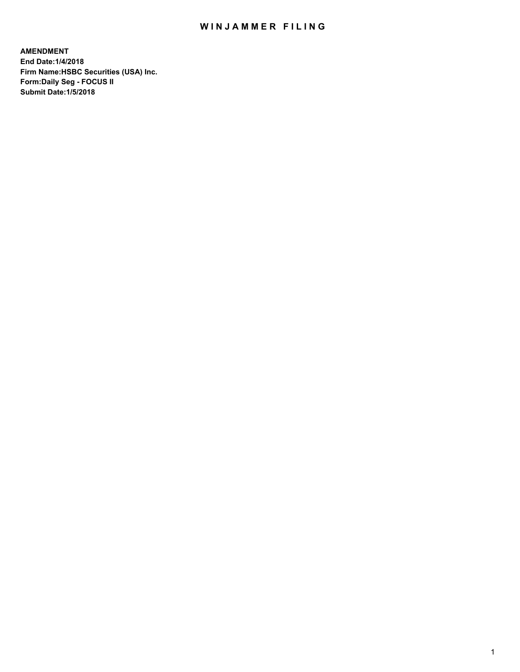## WIN JAMMER FILING

**AMENDMENT End Date:1/4/2018 Firm Name:HSBC Securities (USA) Inc. Form:Daily Seg - FOCUS II Submit Date:1/5/2018**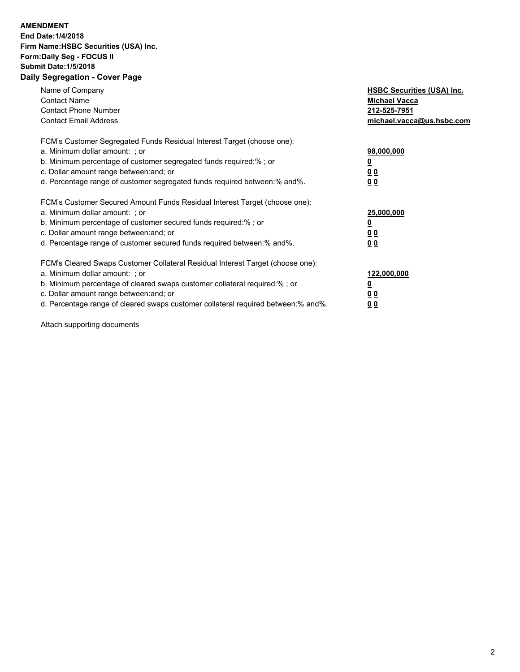## **AMENDMENT**

**End Date:1/4/2018 Firm Name:HSBC Securities (USA) Inc. Form:Daily Seg - FOCUS II Submit Date:1/5/2018 Daily Segregation - Cover Page**

| Name of Company<br><b>Contact Name</b><br><b>Contact Phone Number</b><br><b>Contact Email Address</b>                                                                                                                                                                                                                          | <b>HSBC Securities (USA) Inc.</b><br><b>Michael Vacca</b><br>212-525-7951<br>michael.vacca@us.hsbc.com |
|--------------------------------------------------------------------------------------------------------------------------------------------------------------------------------------------------------------------------------------------------------------------------------------------------------------------------------|--------------------------------------------------------------------------------------------------------|
| FCM's Customer Segregated Funds Residual Interest Target (choose one):<br>a. Minimum dollar amount: ; or<br>b. Minimum percentage of customer segregated funds required:%; or<br>c. Dollar amount range between: and; or<br>d. Percentage range of customer segregated funds required between:% and%.                          | 98,000,000<br><u>00</u><br>00                                                                          |
| FCM's Customer Secured Amount Funds Residual Interest Target (choose one):<br>a. Minimum dollar amount: ; or<br>b. Minimum percentage of customer secured funds required:%; or<br>c. Dollar amount range between: and; or<br>d. Percentage range of customer secured funds required between: % and %.                          | 25,000,000<br><u>00</u><br>00                                                                          |
| FCM's Cleared Swaps Customer Collateral Residual Interest Target (choose one):<br>a. Minimum dollar amount: ; or<br>b. Minimum percentage of cleared swaps customer collateral required:% ; or<br>c. Dollar amount range between: and; or<br>d. Percentage range of cleared swaps customer collateral required between:% and%. | 122,000,000<br><u>0</u><br>0 <sub>0</sub><br>0 <sub>0</sub>                                            |

Attach supporting documents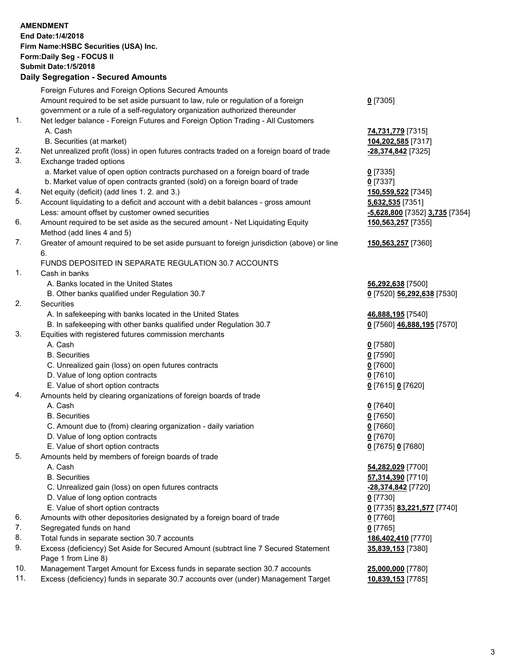|                | <b>AMENDMENT</b><br>End Date: 1/4/2018<br>Firm Name: HSBC Securities (USA) Inc.<br>Form: Daily Seg - FOCUS II<br><b>Submit Date: 1/5/2018</b><br><b>Daily Segregation - Secured Amounts</b> |                                          |
|----------------|---------------------------------------------------------------------------------------------------------------------------------------------------------------------------------------------|------------------------------------------|
|                | Foreign Futures and Foreign Options Secured Amounts                                                                                                                                         |                                          |
|                | Amount required to be set aside pursuant to law, rule or regulation of a foreign                                                                                                            | $Q$ [7305]                               |
|                | government or a rule of a self-regulatory organization authorized thereunder                                                                                                                |                                          |
| 1.             | Net ledger balance - Foreign Futures and Foreign Option Trading - All Customers                                                                                                             |                                          |
|                | A. Cash                                                                                                                                                                                     | <mark>74,731,779</mark> [7315]           |
| 2.             | B. Securities (at market)<br>Net unrealized profit (loss) in open futures contracts traded on a foreign board of trade                                                                      | 104,202,585 [7317]<br>-28,374,842 [7325] |
| 3.             | Exchange traded options                                                                                                                                                                     |                                          |
|                | a. Market value of open option contracts purchased on a foreign board of trade                                                                                                              | $0$ [7335]                               |
|                | b. Market value of open contracts granted (sold) on a foreign board of trade                                                                                                                | $0$ [7337]                               |
| 4.             | Net equity (deficit) (add lines 1.2. and 3.)                                                                                                                                                | 150,559,522 [7345]                       |
| 5.             | Account liquidating to a deficit and account with a debit balances - gross amount                                                                                                           | 5,632,535 [7351]                         |
|                | Less: amount offset by customer owned securities                                                                                                                                            | -5,628,800 [7352] 3,735 [7354]           |
| 6.             | Amount required to be set aside as the secured amount - Net Liquidating Equity<br>Method (add lines 4 and 5)                                                                                | 150,563,257 [7355]                       |
| 7.             | Greater of amount required to be set aside pursuant to foreign jurisdiction (above) or line<br>6.                                                                                           | 150,563,257 [7360]                       |
|                | FUNDS DEPOSITED IN SEPARATE REGULATION 30.7 ACCOUNTS                                                                                                                                        |                                          |
| $\mathbf{1}$ . | Cash in banks                                                                                                                                                                               |                                          |
|                | A. Banks located in the United States                                                                                                                                                       | 56,292,638 [7500]                        |
|                | B. Other banks qualified under Regulation 30.7                                                                                                                                              | 0 [7520] 56,292,638 [7530]               |
| 2.             | Securities                                                                                                                                                                                  |                                          |
|                | A. In safekeeping with banks located in the United States                                                                                                                                   | 46,888,195 [7540]                        |
|                | B. In safekeeping with other banks qualified under Regulation 30.7                                                                                                                          | 0 [7560] 46,888,195 [7570]               |
| 3.             | Equities with registered futures commission merchants                                                                                                                                       |                                          |
|                | A. Cash<br><b>B.</b> Securities                                                                                                                                                             | $0$ [7580]<br>$0$ [7590]                 |
|                | C. Unrealized gain (loss) on open futures contracts                                                                                                                                         | $0$ [7600]                               |
|                | D. Value of long option contracts                                                                                                                                                           | $0$ [7610]                               |
|                | E. Value of short option contracts                                                                                                                                                          | 0 [7615] 0 [7620]                        |
| 4.             | Amounts held by clearing organizations of foreign boards of trade                                                                                                                           |                                          |
|                | A. Cash                                                                                                                                                                                     | $0$ [7640]                               |
|                | <b>B.</b> Securities                                                                                                                                                                        | $0$ [7650]                               |
|                | C. Amount due to (from) clearing organization - daily variation                                                                                                                             | $0$ [7660]                               |
|                | D. Value of long option contracts                                                                                                                                                           | 0 [7670]                                 |
|                | E. Value of short option contracts                                                                                                                                                          | 0 [7675] 0 [7680]                        |
| 5.             | Amounts held by members of foreign boards of trade<br>A. Cash                                                                                                                               |                                          |
|                | <b>B.</b> Securities                                                                                                                                                                        | 54,282,029 [7700]<br>57,314,390 [7710]   |
|                | C. Unrealized gain (loss) on open futures contracts                                                                                                                                         | -28,374,842 [7720]                       |
|                | D. Value of long option contracts                                                                                                                                                           | $0$ [7730]                               |
|                | E. Value of short option contracts                                                                                                                                                          | 0 [7735] 83,221,577 [7740]               |
| 6.             | Amounts with other depositories designated by a foreign board of trade                                                                                                                      | 0 [7760]                                 |
| 7.             | Segregated funds on hand                                                                                                                                                                    | $0$ [7765]                               |
| 8.             | Total funds in separate section 30.7 accounts                                                                                                                                               | 186,402,410 [7770]                       |
| 9.             | Excess (deficiency) Set Aside for Secured Amount (subtract line 7 Secured Statement<br>Page 1 from Line 8)                                                                                  | 35,839,153 [7380]                        |
| 10.            | Management Target Amount for Excess funds in separate section 30.7 accounts                                                                                                                 | 25,000,000 [7780]                        |
| 11.            | Excess (deficiency) funds in separate 30.7 accounts over (under) Management Target                                                                                                          | 10,839,153 [7785]                        |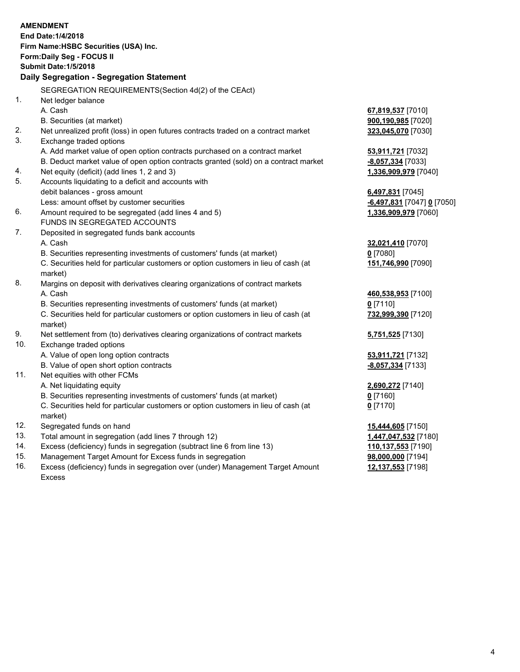## **AMENDMENT End Date:1/4/2018 Firm Name:HSBC Securities (USA) Inc. Form:Daily Seg - FOCUS II Submit Date:1/5/2018 Daily Segregation - Segregation Statement** SEGREGATION REQUIREMENTS(Section 4d(2) of the CEAct) 1. Net ledger balance A. Cash **67,819,537** [7010] B. Securities (at market) **900,190,985** [7020] 2. Net unrealized profit (loss) in open futures contracts traded on a contract market **323,045,070** [7030] 3. Exchange traded options A. Add market value of open option contracts purchased on a contract market **53,911,721** [7032] B. Deduct market value of open option contracts granted (sold) on a contract market **-8,057,334** [7033] 4. Net equity (deficit) (add lines 1, 2 and 3) **1,336,909,979** [7040] 5. Accounts liquidating to a deficit and accounts with debit balances - gross amount **6,497,831** [7045] Less: amount offset by customer securities **and the securities -6,497,831** [7047] **0** [7050] 6. Amount required to be segregated (add lines 4 and 5) **1,336,909,979** [7060] FUNDS IN SEGREGATED ACCOUNTS 7. Deposited in segregated funds bank accounts A. Cash **32,021,410** [7070] B. Securities representing investments of customers' funds (at market) **0** [7080] C. Securities held for particular customers or option customers in lieu of cash (at market) **151,746,990** [7090] 8. Margins on deposit with derivatives clearing organizations of contract markets A. Cash **460,538,953** [7100] B. Securities representing investments of customers' funds (at market) **0** [7110] C. Securities held for particular customers or option customers in lieu of cash (at market) **732,999,390** [7120] 9. Net settlement from (to) derivatives clearing organizations of contract markets **5,751,525** [7130] 10. Exchange traded options A. Value of open long option contracts **53,911,721** [7132] B. Value of open short option contracts **-8,057,334** [7133] 11. Net equities with other FCMs A. Net liquidating equity **2,690,272** [7140] B. Securities representing investments of customers' funds (at market) **0** [7160] C. Securities held for particular customers or option customers in lieu of cash (at market) **0** [7170] 12. Segregated funds on hand **15,444,605** [7150] 13. Total amount in segregation (add lines 7 through 12) **1,447,047,532** [7180] 14. Excess (deficiency) funds in segregation (subtract line 6 from line 13) **110,137,553** [7190]

- 15. Management Target Amount for Excess funds in segregation **98,000,000** [7194]
- 16. Excess (deficiency) funds in segregation over (under) Management Target Amount Excess

**12,137,553** [7198]